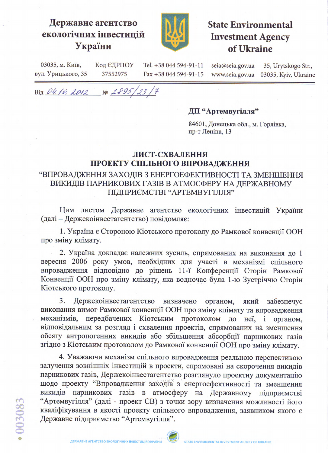## Державне агентство екологічних інвестицій України



# **State Environmental Investment Agency** of Ukraine

03035, м. Київ, Код ЄДРПОУ Tel. +38 044 594-91-11 seia@seia.gov.ua 35, Urytskogo Str., вул. Урицького, 35 37552975 Fax +38 044 594-91-15 www.seia.gov.ua 03035, Kyiv, Ukraine

Від 04.10. 2012 № 2895/23/7

#### ДП "Артемвугілля"

84601, Донецька обл., м. Горлівка, пр-т Леніна, 13

#### ЛИСТ-СХВАЛЕННЯ ПРОЕКТУ СПІЛЬНОГО ВПРОВАДЖЕННЯ

### "ВПРОВАДЖЕННЯ ЗАХОДІВ З ЕНЕРГОЕФЕКТИВНОСТІ ТА ЗМЕНШЕННЯ ВИКИДІВ ПАРНИКОВИХ ГАЗІВ В АТМОСФЕРУ НА ДЕРЖАВНОМУ ПІДПРИЄМСТВІ "АРТЕМВУГІЛЛЯ"

Цим листом Державне агентство екологічних інвестицій України (далі - Держекоінвестагентство) повідомляє:

1. Україна є Стороною Кіотського протоколу до Рамкової конвенції ООН про зміну клімату.

2. Україна докладає належних зусиль, спрямованих на виконання до 1 вересня 2006 року умов, необхідних для участі в механізмі спільного впровадження відповідно до рішень 11-ї Конференції Сторін Рамкової Конвенції ООН про зміну клімату, яка водночас була 1-ю Зустріччю Сторін Кіотського протоколу.

3. Держекоінвестагентство визначено органом, який забезпечує виконання вимог Рамкової конвенції ООН про зміну клімату та впровадження механізмів, передбачених Кіотським протоколом до неї, і органом, відповідальним за розгляд і схвалення проектів, спрямованих на зменшення обсягу антропогенних викидів або збільшення абсорбції парникових газів згідно з Кіотським протоколом до Рамкової конвенції ООН про зміну клімату.

4. Уважаючи механізм спільного впровадження реальною перспективою залучення зовнішніх інвестицій в проекти, спрямовані на скорочення викидів парникових газів, Держекоінвестагентство розглянуло проектну документацію щодо проекту "Впровадження заходів з енергоефективності та зменшення викидів парникових газів в атмосферу на Державному підприємстві "Артемвугілля" (далі - проект СВ) з точки зору визначення можливості його кваліфікування в якості проекту спільного впровадження, заявником якого є Державне підприємство "Артемвугілля".